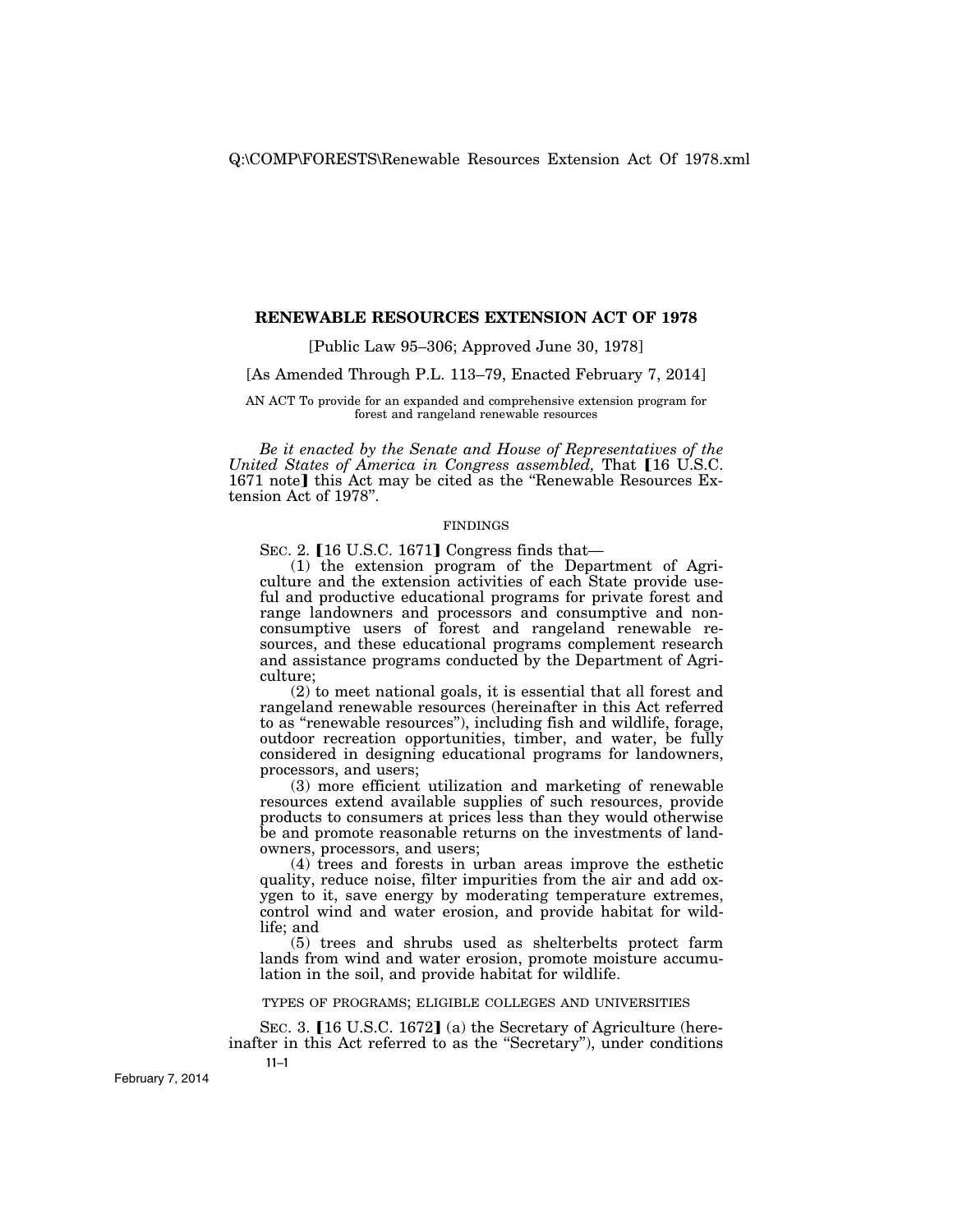## **RENEWABLE RESOURCES EXTENSION ACT OF 1978**

[Public Law 95–306; Approved June 30, 1978]

[As Amended Through P.L. 113–79, Enacted February 7, 2014]

AN ACT To provide for an expanded and comprehensive extension program for forest and rangeland renewable resources

*Be it enacted by the Senate and House of Representatives of the United States of America in Congress assembled, That* [16 U.S.C.] 1671 note] this Act may be cited as the "Renewable Resources Extension Act of 1978''.

#### FINDINGS

SEC. 2.  $[16 \text{ U.S.C. } 1671]$  Congress finds that—

(1) the extension program of the Department of Agriculture and the extension activities of each State provide useful and productive educational programs for private forest and range landowners and processors and consumptive and nonconsumptive users of forest and rangeland renewable resources, and these educational programs complement research and assistance programs conducted by the Department of Agriculture;

(2) to meet national goals, it is essential that all forest and rangeland renewable resources (hereinafter in this Act referred to as ''renewable resources''), including fish and wildlife, forage, outdoor recreation opportunities, timber, and water, be fully considered in designing educational programs for landowners, processors, and users;

(3) more efficient utilization and marketing of renewable resources extend available supplies of such resources, provide products to consumers at prices less than they would otherwise be and promote reasonable returns on the investments of landowners, processors, and users;

 $(4)$  trees and forests in urban areas improve the esthetic quality, reduce noise, filter impurities from the air and add oxygen to it, save energy by moderating temperature extremes, control wind and water erosion, and provide habitat for wildlife; and

(5) trees and shrubs used as shelterbelts protect farm lands from wind and water erosion, promote moisture accumulation in the soil, and provide habitat for wildlife.

TYPES OF PROGRAMS; ELIGIBLE COLLEGES AND UNIVERSITIES

**11–1**  SEC. 3. [16 U.S.C. 1672] (a) the Secretary of Agriculture (hereinafter in this Act referred to as the ''Secretary''), under conditions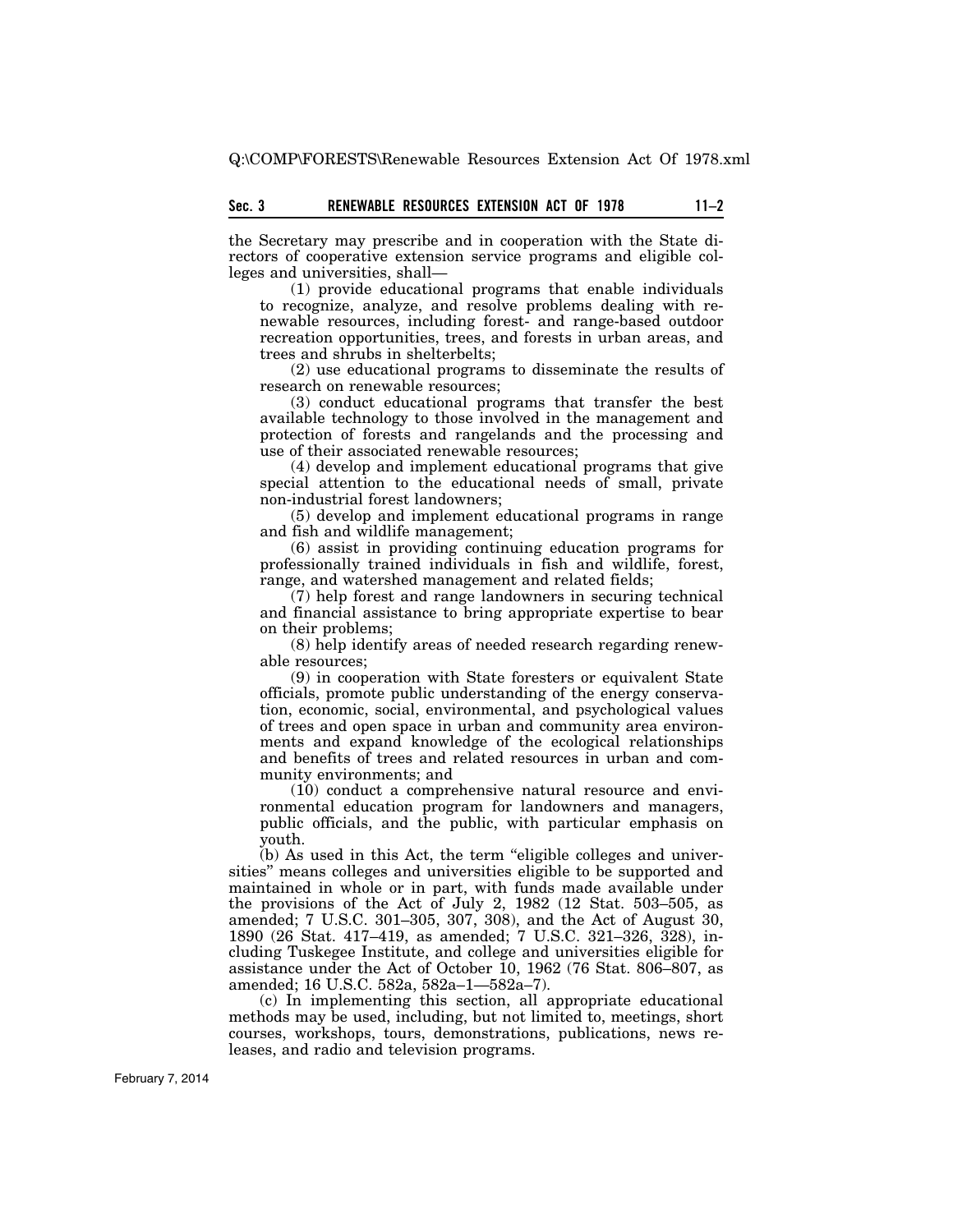the Secretary may prescribe and in cooperation with the State directors of cooperative extension service programs and eligible colleges and universities, shall—

(1) provide educational programs that enable individuals to recognize, analyze, and resolve problems dealing with renewable resources, including forest- and range-based outdoor recreation opportunities, trees, and forests in urban areas, and trees and shrubs in shelterbelts;

(2) use educational programs to disseminate the results of research on renewable resources;

(3) conduct educational programs that transfer the best available technology to those involved in the management and protection of forests and rangelands and the processing and use of their associated renewable resources;

(4) develop and implement educational programs that give special attention to the educational needs of small, private non-industrial forest landowners;

(5) develop and implement educational programs in range and fish and wildlife management;

(6) assist in providing continuing education programs for professionally trained individuals in fish and wildlife, forest, range, and watershed management and related fields;

(7) help forest and range landowners in securing technical and financial assistance to bring appropriate expertise to bear on their problems;

(8) help identify areas of needed research regarding renewable resources;

(9) in cooperation with State foresters or equivalent State officials, promote public understanding of the energy conservation, economic, social, environmental, and psychological values of trees and open space in urban and community area environments and expand knowledge of the ecological relationships and benefits of trees and related resources in urban and community environments; and

(10) conduct a comprehensive natural resource and environmental education program for landowners and managers, public officials, and the public, with particular emphasis on youth.

(b) As used in this Act, the term ''eligible colleges and universities'' means colleges and universities eligible to be supported and maintained in whole or in part, with funds made available under the provisions of the Act of July 2, 1982 (12 Stat. 503–505, as amended; 7 U.S.C. 301–305, 307, 308), and the Act of August 30, 1890 (26 Stat. 417–419, as amended; 7 U.S.C. 321–326, 328), including Tuskegee Institute, and college and universities eligible for assistance under the Act of October 10, 1962 (76 Stat. 806–807, as amended; 16 U.S.C. 582a, 582a–1—582a–7).

(c) In implementing this section, all appropriate educational methods may be used, including, but not limited to, meetings, short courses, workshops, tours, demonstrations, publications, news releases, and radio and television programs.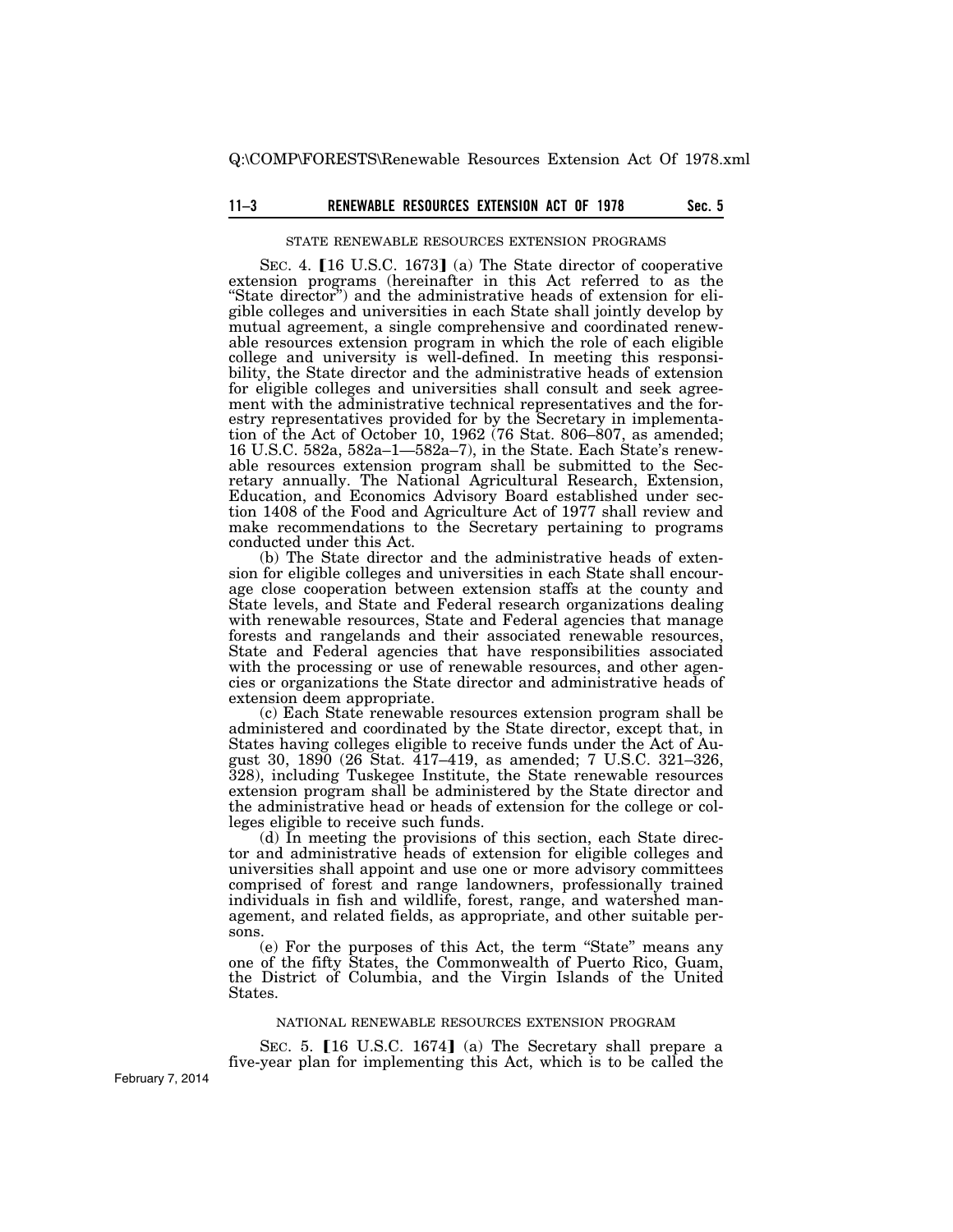# 11–3 **RENEWABLE RESOURCES EXTENSION ACT OF 1978** Sec. 5

#### STATE RENEWABLE RESOURCES EXTENSION PROGRAMS

SEC. 4. [16 U.S.C. 1673] (a) The State director of cooperative extension programs (hereinafter in this Act referred to as the "State director") and the administrative heads of extension for eligible colleges and universities in each State shall jointly develop by mutual agreement, a single comprehensive and coordinated renewable resources extension program in which the role of each eligible college and university is well-defined. In meeting this responsibility, the State director and the administrative heads of extension for eligible colleges and universities shall consult and seek agreement with the administrative technical representatives and the forestry representatives provided for by the Secretary in implementation of the Act of October 10, 1962 (76 Stat. 806–807, as amended; 16 U.S.C. 582a, 582a–1—582a–7), in the State. Each State's renewable resources extension program shall be submitted to the Secretary annually. The National Agricultural Research, Extension, Education, and Economics Advisory Board established under section 1408 of the Food and Agriculture Act of 1977 shall review and make recommendations to the Secretary pertaining to programs conducted under this Act.

(b) The State director and the administrative heads of extension for eligible colleges and universities in each State shall encourage close cooperation between extension staffs at the county and State levels, and State and Federal research organizations dealing with renewable resources, State and Federal agencies that manage forests and rangelands and their associated renewable resources, State and Federal agencies that have responsibilities associated with the processing or use of renewable resources, and other agencies or organizations the State director and administrative heads of extension deem appropriate.

(c) Each State renewable resources extension program shall be administered and coordinated by the State director, except that, in States having colleges eligible to receive funds under the Act of August 30, 1890 (26 Stat. 417–419, as amended; 7 U.S.C. 321–326, 328), including Tuskegee Institute, the State renewable resources extension program shall be administered by the State director and the administrative head or heads of extension for the college or colleges eligible to receive such funds.

(d) In meeting the provisions of this section, each State director and administrative heads of extension for eligible colleges and universities shall appoint and use one or more advisory committees comprised of forest and range landowners, professionally trained individuals in fish and wildlife, forest, range, and watershed management, and related fields, as appropriate, and other suitable persons.

(e) For the purposes of this Act, the term ''State'' means any one of the fifty States, the Commonwealth of Puerto Rico, Guam, the District of Columbia, and the Virgin Islands of the United States.

#### NATIONAL RENEWABLE RESOURCES EXTENSION PROGRAM

SEC. 5.  $[16 \text{ U.S.C. } 1674]$  (a) The Secretary shall prepare a five-year plan for implementing this Act, which is to be called the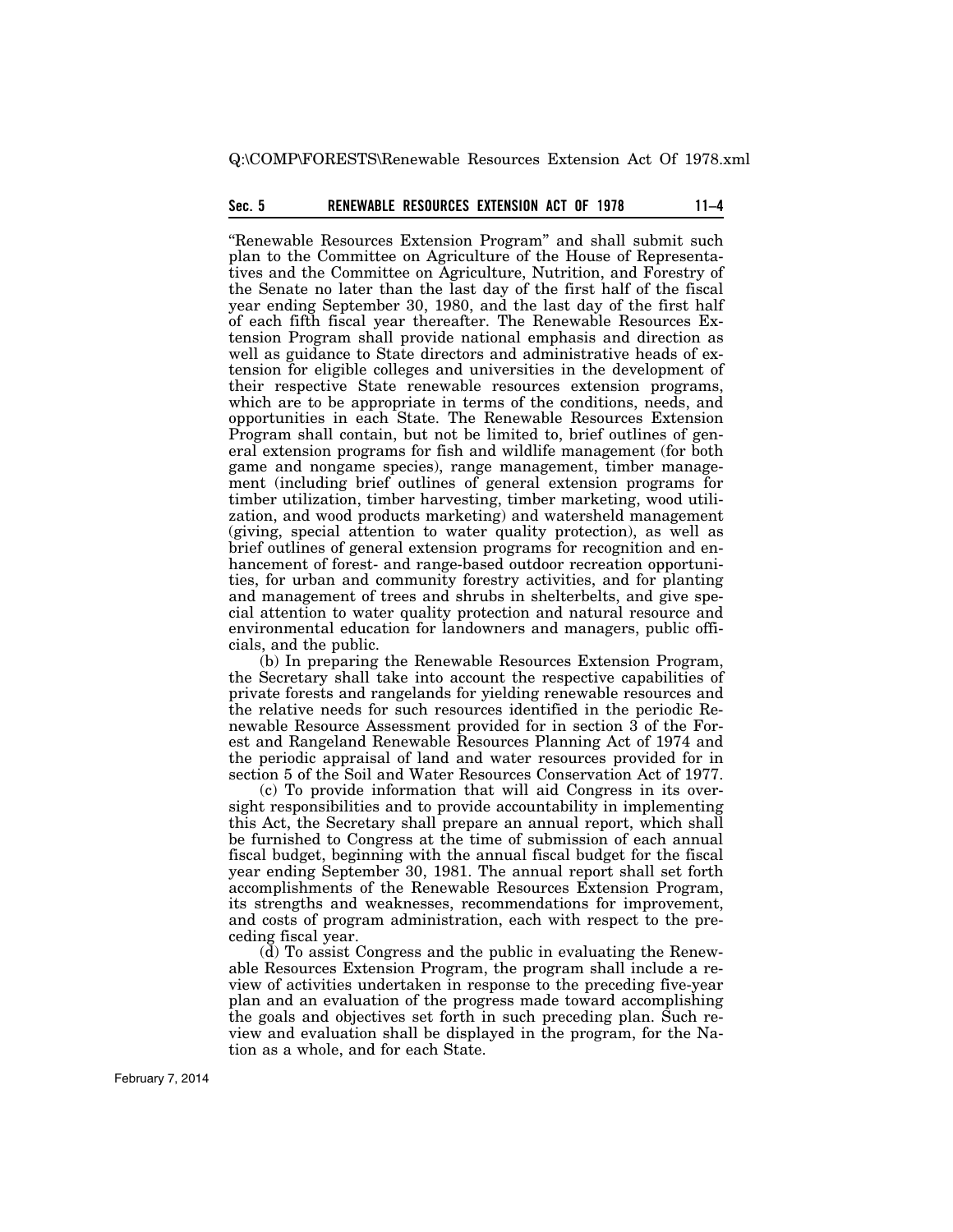Q:\COMP\FORESTS\Renewable Resources Extension Act Of 1978.xml

# **Sec. 5 11–4 RENEWABLE RESOURCES EXTENSION ACT OF 1978**

"Renewable Resources Extension Program" and shall submit such plan to the Committee on Agriculture of the House of Representatives and the Committee on Agriculture, Nutrition, and Forestry of the Senate no later than the last day of the first half of the fiscal year ending September 30, 1980, and the last day of the first half of each fifth fiscal year thereafter. The Renewable Resources Extension Program shall provide national emphasis and direction as well as guidance to State directors and administrative heads of extension for eligible colleges and universities in the development of their respective State renewable resources extension programs, which are to be appropriate in terms of the conditions, needs, and opportunities in each State. The Renewable Resources Extension Program shall contain, but not be limited to, brief outlines of general extension programs for fish and wildlife management (for both game and nongame species), range management, timber management (including brief outlines of general extension programs for timber utilization, timber harvesting, timber marketing, wood utilization, and wood products marketing) and watersheld management (giving, special attention to water quality protection), as well as brief outlines of general extension programs for recognition and enhancement of forest- and range-based outdoor recreation opportunities, for urban and community forestry activities, and for planting and management of trees and shrubs in shelterbelts, and give special attention to water quality protection and natural resource and environmental education for landowners and managers, public officials, and the public.

(b) In preparing the Renewable Resources Extension Program, the Secretary shall take into account the respective capabilities of private forests and rangelands for yielding renewable resources and the relative needs for such resources identified in the periodic Renewable Resource Assessment provided for in section 3 of the Forest and Rangeland Renewable Resources Planning Act of 1974 and the periodic appraisal of land and water resources provided for in section 5 of the Soil and Water Resources Conservation Act of 1977.

(c) To provide information that will aid Congress in its oversight responsibilities and to provide accountability in implementing this Act, the Secretary shall prepare an annual report, which shall be furnished to Congress at the time of submission of each annual fiscal budget, beginning with the annual fiscal budget for the fiscal year ending September 30, 1981. The annual report shall set forth accomplishments of the Renewable Resources Extension Program, its strengths and weaknesses, recommendations for improvement, and costs of program administration, each with respect to the preceding fiscal year.

(d) To assist Congress and the public in evaluating the Renewable Resources Extension Program, the program shall include a review of activities undertaken in response to the preceding five-year plan and an evaluation of the progress made toward accomplishing the goals and objectives set forth in such preceding plan. Such review and evaluation shall be displayed in the program, for the Nation as a whole, and for each State.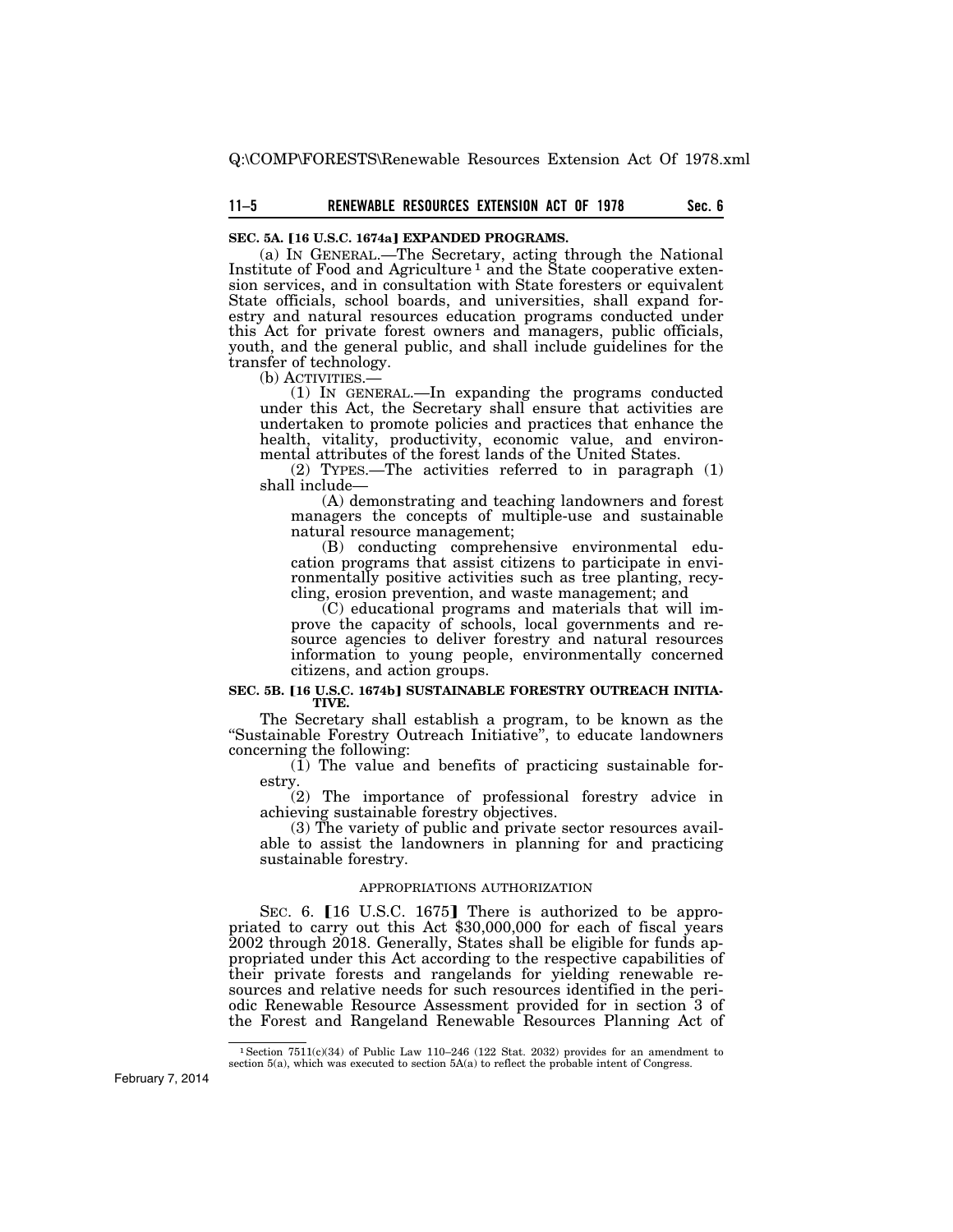# **11–5 Sec. 6 RENEWABLE RESOURCES EXTENSION ACT OF 1978**

### **SEC. 5A. [16 U.S.C. 1674a] EXPANDED PROGRAMS.**

(a) IN GENERAL.—The Secretary, acting through the National Institute of Food and Agriculture 1 and the State cooperative extension services, and in consultation with State foresters or equivalent State officials, school boards, and universities, shall expand forestry and natural resources education programs conducted under this Act for private forest owners and managers, public officials, youth, and the general public, and shall include guidelines for the transfer of technology.<br>(b) ACTIVITIES.—

 $(1)$  In GENERAL.—In expanding the programs conducted under this Act, the Secretary shall ensure that activities are undertaken to promote policies and practices that enhance the health, vitality, productivity, economic value, and environmental attributes of the forest lands of the United States.

(2) TYPES.—The activities referred to in paragraph (1) shall include—

(A) demonstrating and teaching landowners and forest managers the concepts of multiple-use and sustainable natural resource management;

(B) conducting comprehensive environmental education programs that assist citizens to participate in environmentally positive activities such as tree planting, recycling, erosion prevention, and waste management; and

(C) educational programs and materials that will improve the capacity of schools, local governments and resource agencies to deliver forestry and natural resources information to young people, environmentally concerned citizens, and action groups.

#### **SEC. 5B. [16 U.S.C. 1674b] SUSTAINABLE FORESTRY OUTREACH INITIA-TIVE.**

The Secretary shall establish a program, to be known as the "Sustainable Forestry Outreach Initiative", to educate landowners concerning the following:

 $(1)$  The value and benefits of practicing sustainable forestry.

(2) The importance of professional forestry advice in achieving sustainable forestry objectives.

(3) The variety of public and private sector resources available to assist the landowners in planning for and practicing sustainable forestry.

### APPROPRIATIONS AUTHORIZATION

SEC. 6. [16 U.S.C. 1675] There is authorized to be appropriated to carry out this Act \$30,000,000 for each of fiscal years 2002 through 2018. Generally, States shall be eligible for funds appropriated under this Act according to the respective capabilities of their private forests and rangelands for yielding renewable resources and relative needs for such resources identified in the periodic Renewable Resource Assessment provided for in section 3 of the Forest and Rangeland Renewable Resources Planning Act of

<sup>&</sup>lt;sup>1</sup> Section 7511(c)(34) of Public Law 110–246 (122 Stat. 2032) provides for an amendment to section 5(a), which was executed to section 5A(a) to reflect the probable intent of Congress.